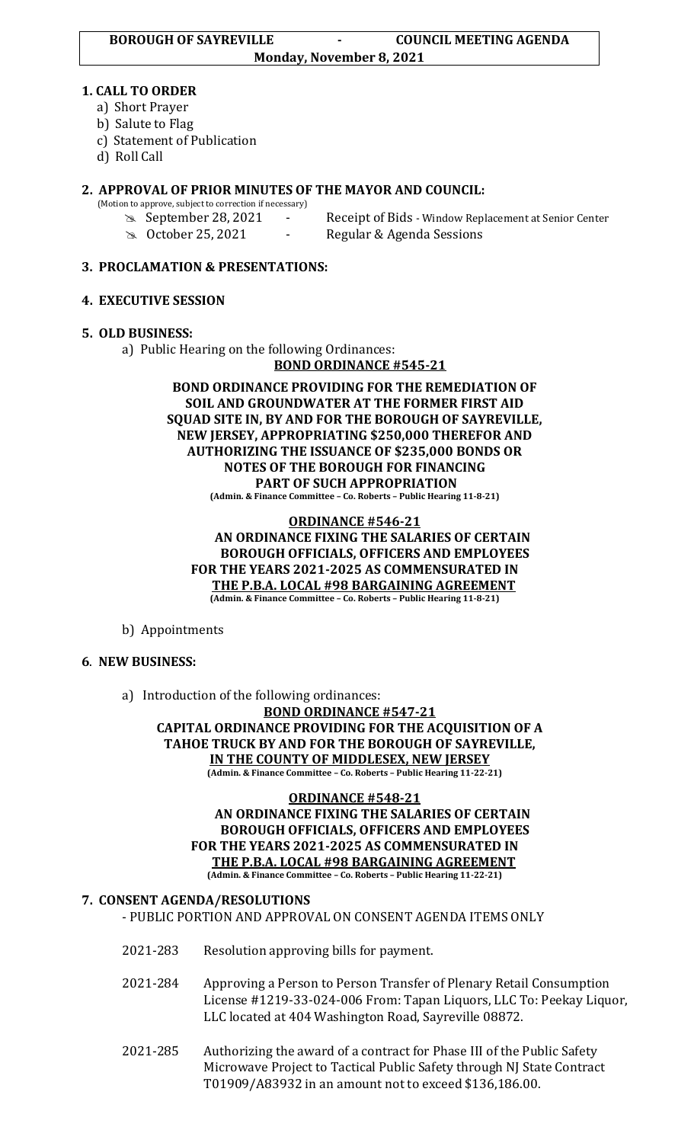### **1. CALL TO ORDER**

- a) Short Prayer
- b) Salute to Flag
- c) Statement of Publication
- d) Roll Call

# **2. APPROVAL OF PRIOR MINUTES OF THE MAYOR AND COUNCIL:**

- (Motion to approve, subject to correction if necessary)
	-
	- **September 28, 2021** Receipt of Bids Window Replacement at Senior Center October 25, 2021 - Regular & Agenda Sessions

### **3. PROCLAMATION & PRESENTATIONS:**

## **4. EXECUTIVE SESSION**

## **5. OLD BUSINESS:**

a) Public Hearing on the following Ordinances:

**BOND ORDINANCE #545-21**

**BOND ORDINANCE PROVIDING FOR THE REMEDIATION OF SOIL AND GROUNDWATER AT THE FORMER FIRST AID SQUAD SITE IN, BY AND FOR THE BOROUGH OF SAYREVILLE, NEW JERSEY, APPROPRIATING \$250,000 THEREFOR AND AUTHORIZING THE ISSUANCE OF \$235,000 BONDS OR NOTES OF THE BOROUGH FOR FINANCING PART OF SUCH APPROPRIATION (Admin. & Finance Committee – Co. Roberts – Public Hearing 11-8-21)**

#### **ORDINANCE #546-21 AN ORDINANCE FIXING THE SALARIES OF CERTAIN BOROUGH OFFICIALS, OFFICERS AND EMPLOYEES FOR THE YEARS 2021-2025 AS COMMENSURATED IN THE P.B.A. LOCAL #98 BARGAINING AGREEMENT (Admin. & Finance Committee – Co. Roberts – Public Hearing 11-8-21)**

b) Appointments

# **6**. **NEW BUSINESS:**

a) Introduction of the following ordinances:

**BOND ORDINANCE #547-21 CAPITAL ORDINANCE PROVIDING FOR THE ACQUISITION OF A TAHOE TRUCK BY AND FOR THE BOROUGH OF SAYREVILLE, IN THE COUNTY OF MIDDLESEX, NEW JERSEY (Admin. & Finance Committee – Co. Roberts – Public Hearing 11-22-21)**

#### **ORDINANCE #548-21 AN ORDINANCE FIXING THE SALARIES OF CERTAIN BOROUGH OFFICIALS, OFFICERS AND EMPLOYEES FOR THE YEARS 2021-2025 AS COMMENSURATED IN THE P.B.A. LOCAL #98 BARGAINING AGREEMENT (Admin. & Finance Committee – Co. Roberts – Public Hearing 11-22-21)**

# **7. CONSENT AGENDA/RESOLUTIONS**

- PUBLIC PORTION AND APPROVAL ON CONSENT AGENDA ITEMS ONLY

- 2021-283 Resolution approving bills for payment.
- 2021-284 Approving a Person to Person Transfer of Plenary Retail Consumption License #1219-33-024-006 From: Tapan Liquors, LLC To: Peekay Liquor, LLC located at 404 Washington Road, Sayreville 08872.
- 2021-285 Authorizing the award of a contract for Phase III of the Public Safety Microwave Project to Tactical Public Safety through NJ State Contract T01909/A83932 in an amount not to exceed \$136,186.00.